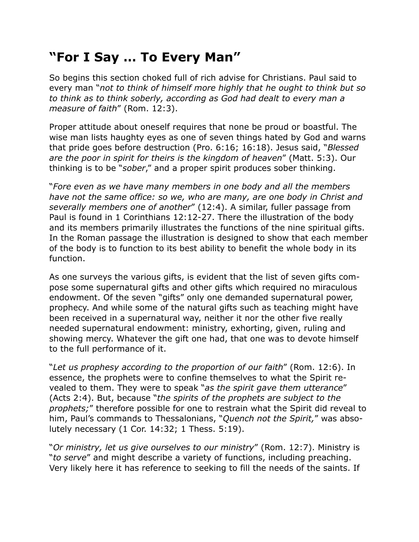## **"For I Say … To Every Man"**

So begins this section choked full of rich advise for Christians. Paul said to every man "*not to think of himself more highly that he ought to think but so to think as to think soberly, according as God had dealt to every man a measure of faith*" (Rom. 12:3).

Proper attitude about oneself requires that none be proud or boastful. The wise man lists haughty eyes as one of seven things hated by God and warns that pride goes before destruction (Pro. 6:16; 16:18). Jesus said, "*Blessed are the poor in spirit for theirs is the kingdom of heaven*" (Matt. 5:3). Our thinking is to be "*sober*," and a proper spirit produces sober thinking.

"*Fore even as we have many members in one body and all the members have not the same office: so we, who are many, are one body in Christ and severally members one of another*" (12:4). A similar, fuller passage from Paul is found in 1 Corinthians 12:12-27. There the illustration of the body and its members primarily illustrates the functions of the nine spiritual gifts. In the Roman passage the illustration is designed to show that each member of the body is to function to its best ability to benefit the whole body in its function.

As one surveys the various gifts, is evident that the list of seven gifts compose some supernatural gifts and other gifts which required no miraculous endowment. Of the seven "gifts" only one demanded supernatural power, prophecy. And while some of the natural gifts such as teaching might have been received in a supernatural way, neither it nor the other five really needed supernatural endowment: ministry, exhorting, given, ruling and showing mercy. Whatever the gift one had, that one was to devote himself to the full performance of it.

"*Let us prophesy according to the proportion of our faith*" (Rom. 12:6). In essence, the prophets were to confine themselves to what the Spirit revealed to them. They were to speak "*as the spirit gave them utterance*" (Acts 2:4). But, because "*the spirits of the prophets are subject to the prophets;*" therefore possible for one to restrain what the Spirit did reveal to him, Paul's commands to Thessalonians, "*Quench not the Spirit,*" was absolutely necessary (1 Cor. 14:32; 1 Thess. 5:19).

"*Or ministry, let us give ourselves to our ministry*" (Rom. 12:7). Ministry is "*to serve*" and might describe a variety of functions, including preaching. Very likely here it has reference to seeking to fill the needs of the saints. If